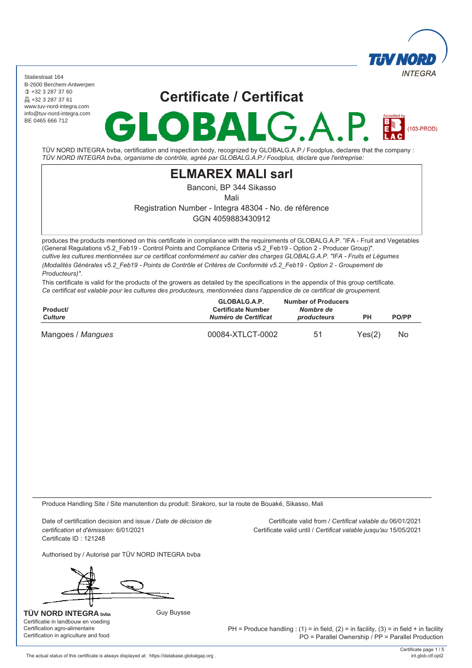

 $(103-PROD)$ 

Statiestraat 164 B-2600 Berchem-Antwerpen +32 3 287 37 60 **A** +32 3 287 37 61 www.tuv-nord-integra.com info@tuv-nord-integra.com BE 0465 666 712

# **Certificate / Certificat**

 $\blacktriangle$ 

R

TÜV NORD INTEGRA bvba, certification and inspection body, recognized by GLOBALG.A.P./ Foodplus, declares that the company : *TÜV NORD INTEGRA bvba, organisme de contrôle, agréé par GLOBALG.A.P./ Foodplus, déclare que l'entreprise:*

### **ELMAREX MALI sarl**

Banconi, BP 344 Sikasso

Mali

Registration Number - Integra 48304 - No. de référence

GGN 4059883430912

produces the products mentioned on this certificate in compliance with the requirements of GLOBALG.A.P. "IFA - Fruit and Vegetables (General Regulations v5.2\_Feb19 - Control Points and Compliance Criteria v5.2\_Feb19 - Option 2 - Producer Group)". *cultive les cultures mentionnées sur ce certificat conformément au cahier des charges GLOBALG.A.P. "IFA - Fruits et Légumes (Modalités Générales v5.2\_Feb19 - Points de Contrôle et Critères de Conformité v5.2\_Feb19 - Option 2 - Groupement de Producteurs)".*

This certificate is valid for the products of the growers as detailed by the specifications in the appendix of this group certificate. *Ce certificat est valable pour les cultures des producteurs, mentionnées dans l'appendice de ce certificat de groupement.*

| Product/<br><b>Culture</b> | GLOBALG.A.P.<br><b>Certificate Number</b><br>Numéro de Certificat | <b>Number of Producers</b><br>Nombre de<br>producteurs | <b>PO/PP</b><br>PН |     |
|----------------------------|-------------------------------------------------------------------|--------------------------------------------------------|--------------------|-----|
| Mangoes / Mangues          | 00084-XTLCT-0002                                                  | 51                                                     | Yes(2)             | No. |

Produce Handling Site / Site manutention du produit: Sirakoro, sur la route de Bouaké, Sikasso, Mali

Date of certification decision and issue */ Date de décision de certification et d'émission*: 6/01/2021 Certificate ID : 121248

Certificate valid from / *Certificat valable du* 06/01/2021 Certificate valid until / *Certificat valable jusqu'au* 15/05/2021

Authorised by / Autorisé par TÜV NORD INTEGRA bvba

Guy Buysse

**TÜV NORD INTEGRA bvba** Certificatie in landbouw en voeding Certification agro-alimentaire Certification in agriculture and food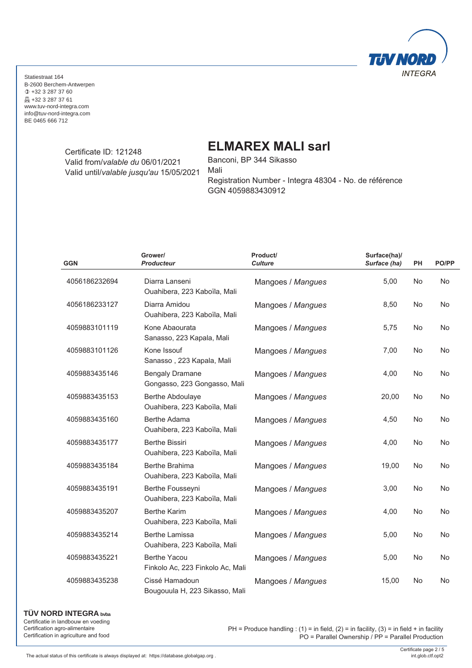

> Certificate ID: 121248 Valid from/*valable du* 06/01/2021 Valid until/*valable jusqu'au* 15/05/2021

### **ELMAREX MALI sarl**

Banconi, BP 344 Sikasso Mali Registration Number - Integra 48304 - No. de référence GGN 4059883430912

| <b>GGN</b>    | Grower/<br><b>Producteur</b>                            | Product/<br><b>Culture</b> | Surface(ha)/<br>Surface (ha) | PH        | PO/PP     |
|---------------|---------------------------------------------------------|----------------------------|------------------------------|-----------|-----------|
| 4056186232694 | Diarra Lanseni<br>Ouahibera, 223 Kaboïla, Mali          | Mangoes / Mangues          | 5,00                         | <b>No</b> | <b>No</b> |
| 4056186233127 | Diarra Amidou<br>Ouahibera, 223 Kaboïla, Mali           | Mangoes / Mangues          | 8,50                         | No        | No        |
| 4059883101119 | Kone Abaourata<br>Sanasso, 223 Kapala, Mali             | Mangoes / Mangues          | 5,75                         | No        | No        |
| 4059883101126 | Kone Issouf<br>Sanasso, 223 Kapala, Mali                | Mangoes / Mangues          | 7,00                         | No        | No        |
| 4059883435146 | <b>Bengaly Dramane</b><br>Gongasso, 223 Gongasso, Mali  | Mangoes / Mangues          | 4,00                         | <b>No</b> | No        |
| 4059883435153 | <b>Berthe Abdoulaye</b><br>Ouahibera, 223 Kaboïla, Mali | Mangoes / Mangues          | 20,00                        | No        | No        |
| 4059883435160 | Berthe Adama<br>Ouahibera, 223 Kaboïla, Mali            | Mangoes / Mangues          | 4,50                         | No        | No        |
| 4059883435177 | <b>Berthe Bissiri</b><br>Ouahibera, 223 Kaboïla, Mali   | Mangoes / Mangues          | 4,00                         | No        | No        |
| 4059883435184 | Berthe Brahima<br>Ouahibera, 223 Kaboïla, Mali          | Mangoes / Mangues          | 19,00                        | No        | No        |
| 4059883435191 | Berthe Fousseyni<br>Ouahibera, 223 Kaboïla, Mali        | Mangoes / Mangues          | 3,00                         | No        | No        |
| 4059883435207 | <b>Berthe Karim</b><br>Ouahibera, 223 Kaboïla, Mali     | Mangoes / Mangues          | 4,00                         | No        | No        |
| 4059883435214 | <b>Berthe Lamissa</b><br>Ouahibera, 223 Kaboïla, Mali   | Mangoes / Mangues          | 5,00                         | No        | No        |
| 4059883435221 | <b>Berthe Yacou</b><br>Finkolo Ac, 223 Finkolo Ac, Mali | Mangoes / Mangues          | 5,00                         | No        | No        |
| 4059883435238 | Cissé Hamadoun<br>Bougouula H, 223 Sikasso, Mali        | Mangoes / Mangues          | 15,00                        | No        | No        |

#### **TÜV NORD INTEGRA bvba**

Certificatie in landbouw en voeding Certification agro-alimentaire Certification in agriculture and food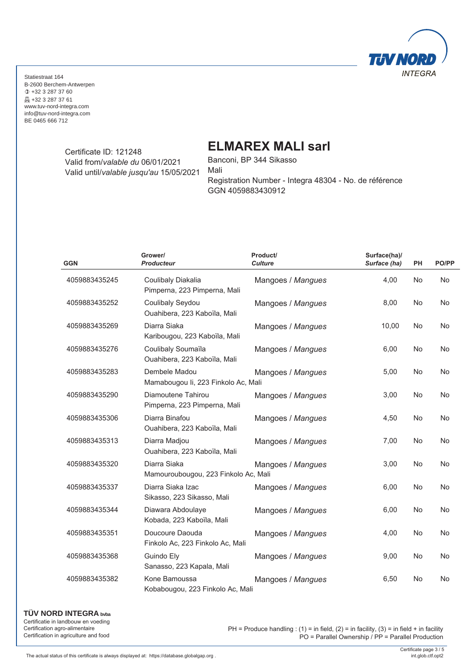

> Certificate ID: 121248 Valid from/*valable du* 06/01/2021 Valid until/*valable jusqu'au* 15/05/2021

## **ELMAREX MALI sarl**

Banconi, BP 344 Sikasso Mali Registration Number - Integra 48304 - No. de référence GGN 4059883430912

| <b>GGN</b>    | Grower/<br><b>Producteur</b>                         | Product/<br><b>Culture</b> | Surface(ha)/<br>Surface (ha) | PH        | PO/PP     |
|---------------|------------------------------------------------------|----------------------------|------------------------------|-----------|-----------|
| 4059883435245 | Coulibaly Diakalia<br>Pimperna, 223 Pimperna, Mali   | Mangoes / Mangues          | 4,00                         | <b>No</b> | <b>No</b> |
| 4059883435252 | Coulibaly Seydou<br>Ouahibera, 223 Kaboïla, Mali     | Mangoes / Mangues          | 8,00                         | No        | No        |
| 4059883435269 | Diarra Siaka<br>Karibougou, 223 Kaboïla, Mali        | Mangoes / Mangues          | 10,00                        | No        | No        |
| 4059883435276 | Coulibaly Soumaïla<br>Ouahibera, 223 Kaboïla, Mali   | Mangoes / Mangues          | 6,00                         | <b>No</b> | No        |
| 4059883435283 | Dembele Madou<br>Mamabougou li, 223 Finkolo Ac, Mali | Mangoes / Mangues          | 5,00                         | No        | No        |
| 4059883435290 | Diamoutene Tahirou<br>Pimperna, 223 Pimperna, Mali   | Mangoes / Mangues          | 3,00                         | No        | No        |
| 4059883435306 | Diarra Binafou<br>Ouahibera, 223 Kaboïla, Mali       | Mangoes / Mangues          | 4,50                         | No        | No        |
| 4059883435313 | Diarra Madjou<br>Ouahibera, 223 Kaboïla, Mali        | Mangoes / Mangues          | 7,00                         | <b>No</b> | No        |
| 4059883435320 | Diarra Siaka<br>Mamouroubougou, 223 Finkolo Ac, Mali | Mangoes / Mangues          | 3,00                         | No        | No        |
| 4059883435337 | Diarra Siaka Izac<br>Sikasso, 223 Sikasso, Mali      | Mangoes / Mangues          | 6,00                         | <b>No</b> | <b>No</b> |
| 4059883435344 | Diawara Abdoulaye<br>Kobada, 223 Kaboïla, Mali       | Mangoes / Mangues          | 6,00                         | <b>No</b> | No        |
| 4059883435351 | Doucoure Daouda<br>Finkolo Ac, 223 Finkolo Ac, Mali  | Mangoes / Mangues          | 4,00                         | <b>No</b> | No        |
| 4059883435368 | Guindo Ely<br>Sanasso, 223 Kapala, Mali              | Mangoes / Mangues          | 9,00                         | No        | No        |
| 4059883435382 | Kone Bamoussa<br>Kobabougou, 223 Finkolo Ac, Mali    | Mangoes / Mangues          | 6,50                         | No        | No        |

**TÜV NORD INTEGRA bvba** Certificatie in landbouw en voeding

Certification agro-alimentaire Certification in agriculture and food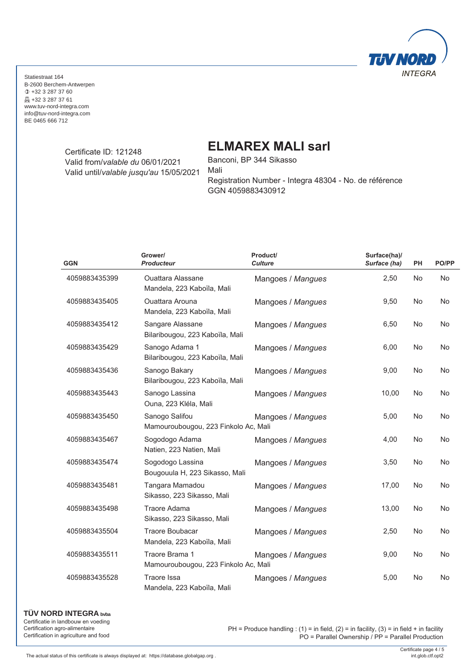

> Certificate ID: 121248 Valid from/*valable du* 06/01/2021 Valid until/*valable jusqu'au* 15/05/2021

## **ELMAREX MALI sarl**

Banconi, BP 344 Sikasso Mali Registration Number - Integra 48304 - No. de référence GGN 4059883430912

| <b>GGN</b>    | Grower/<br><b>Producteur</b>                           | Product/<br><b>Culture</b> | Surface(ha)/<br>Surface (ha) | PH        | PO/PP     |
|---------------|--------------------------------------------------------|----------------------------|------------------------------|-----------|-----------|
| 4059883435399 | <b>Ouattara Alassane</b><br>Mandela, 223 Kaboïla, Mali | Mangoes / Mangues          | 2,50                         | <b>No</b> | <b>No</b> |
| 4059883435405 | <b>Ouattara Arouna</b><br>Mandela, 223 Kaboïla, Mali   | Mangoes / Mangues          | 9,50                         | <b>No</b> | <b>No</b> |
| 4059883435412 | Sangare Alassane<br>Bilaribougou, 223 Kaboïla, Mali    | Mangoes / Mangues          | 6,50                         | No        | <b>No</b> |
| 4059883435429 | Sanogo Adama 1<br>Bilaribougou, 223 Kaboïla, Mali      | Mangoes / Mangues          | 6,00                         | No        | No        |
| 4059883435436 | Sanogo Bakary<br>Bilaribougou, 223 Kaboïla, Mali       | Mangoes / Mangues          | 9,00                         | No        | No        |
| 4059883435443 | Sanogo Lassina<br>Ouna, 223 Kléla, Mali                | Mangoes / Mangues          | 10,00                        | No        | No        |
| 4059883435450 | Sanogo Salifou<br>Mamouroubougou, 223 Finkolo Ac, Mali | Mangoes / Mangues          | 5,00                         | No        | No        |
| 4059883435467 | Sogodogo Adama<br>Natien, 223 Natien, Mali             | Mangoes / Mangues          | 4,00                         | No        | No        |
| 4059883435474 | Sogodogo Lassina<br>Bougouula H, 223 Sikasso, Mali     | Mangoes / Mangues          | 3,50                         | No        | No        |
| 4059883435481 | Tangara Mamadou<br>Sikasso, 223 Sikasso, Mali          | Mangoes / Mangues          | 17,00                        | <b>No</b> | No        |
| 4059883435498 | <b>Traore Adama</b><br>Sikasso, 223 Sikasso, Mali      | Mangoes / Mangues          | 13,00                        | No        | No        |
| 4059883435504 | <b>Traore Boubacar</b><br>Mandela, 223 Kaboïla, Mali   | Mangoes / Mangues          | 2,50                         | <b>No</b> | No        |
| 4059883435511 | Traore Brama 1<br>Mamouroubougou, 223 Finkolo Ac, Mali | Mangoes / Mangues          | 9,00                         | No        | <b>No</b> |
| 4059883435528 | Traore Issa<br>Mandela, 223 Kaboïla, Mali              | Mangoes / Mangues          | 5,00                         | No        | No        |

**TÜV NORD INTEGRA bvba** Certificatie in landbouw en voeding

Certification agro-alimentaire Certification in agriculture and food